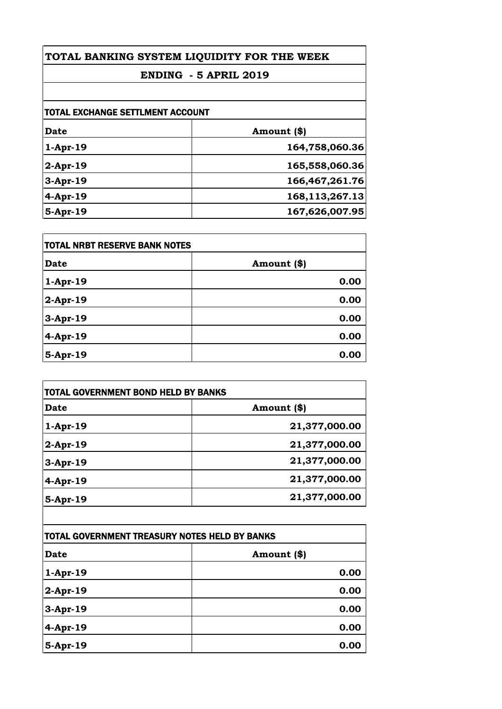## **TOTAL BANKING SYSTEM LIQUIDITY FOR THE WEEK**

# **ENDING - 5 APRIL 2019**

| <b>TOTAL EXCHANGE SETTLMENT ACCOUNT</b> |                   |
|-----------------------------------------|-------------------|
| <b>Date</b>                             | Amount (\$)       |
| $1-Apr-19$                              | 164,758,060.36    |
| $2$ -Apr-19                             | 165,558,060.36    |
| $3-Apr-19$                              | 166, 467, 261. 76 |
| $4-Apr-19$                              | 168, 113, 267. 13 |
| 5-Apr-19                                | 167,626,007.95    |

| <b>TOTAL NRBT RESERVE BANK NOTES</b> |             |
|--------------------------------------|-------------|
| <b>Date</b>                          | Amount (\$) |
| $1-Apr-19$                           | 0.00        |
| $2$ -Apr-19                          | 0.00        |
| $3-Apr-19$                           | 0.00        |
| 4-Apr-19                             | 0.00        |
| 5-Apr-19                             | 0.00        |

| <b>TOTAL GOVERNMENT BOND HELD BY BANKS</b> |               |
|--------------------------------------------|---------------|
| Date                                       | Amount (\$)   |
| $1-Apr-19$                                 | 21,377,000.00 |
| $2$ -Apr-19                                | 21,377,000.00 |
| $3-Apr-19$                                 | 21,377,000.00 |
| $4-Apr-19$                                 | 21,377,000.00 |
| 5-Apr-19                                   | 21,377,000.00 |

| TOTAL GOVERNMENT TREASURY NOTES HELD BY BANKS |             |
|-----------------------------------------------|-------------|
| <b>Date</b>                                   | Amount (\$) |
| $1-Apr-19$                                    | 0.00        |
| $2$ -Apr-19                                   | 0.00        |
| 3-Apr-19                                      | 0.00        |
| 4-Apr-19                                      | 0.00        |
| 5-Apr-19                                      | 0.00        |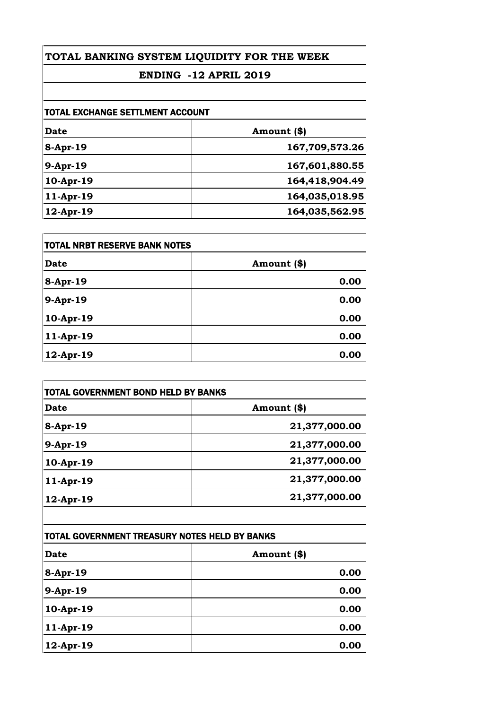# **TOTAL BANKING SYSTEM LIQUIDITY FOR THE WEEK**

# **ENDING -12 APRIL 2019**

| <b>TOTAL EXCHANGE SETTLMENT ACCOUNT</b> |  |
|-----------------------------------------|--|
| Amount (\$)                             |  |
| 167,709,573.26                          |  |
| 167,601,880.55                          |  |
| 164,418,904.49                          |  |
| 164,035,018.95                          |  |
| 164,035,562.95                          |  |
|                                         |  |

| <b>TOTAL NRBT RESERVE BANK NOTES</b> |             |
|--------------------------------------|-------------|
| <b>Date</b>                          | Amount (\$) |
| 8-Apr-19                             | 0.00        |
| 9-Apr-19                             | 0.00        |
| 10-Apr-19                            | 0.00        |
| 11-Apr-19                            | 0.00        |
| 12-Apr-19                            | 0.00        |

| Date         | Amount (\$)   |
|--------------|---------------|
| 8-Apr-19     | 21,377,000.00 |
| 9-Apr-19     | 21,377,000.00 |
| 10-Apr-19    | 21,377,000.00 |
| $11-Apr-19$  | 21,377,000.00 |
| $12$ -Apr-19 | 21,377,000.00 |

| <b>TOTAL GOVERNMENT TREASURY NOTES HELD BY BANKS</b> |             |
|------------------------------------------------------|-------------|
| <b>Date</b>                                          | Amount (\$) |
| 8-Apr-19                                             | 0.00        |
| 9-Apr-19                                             | 0.00        |
| 10-Apr-19                                            | 0.00        |
| 11-Apr-19                                            | 0.00        |
| 12-Apr-19                                            | 0.00        |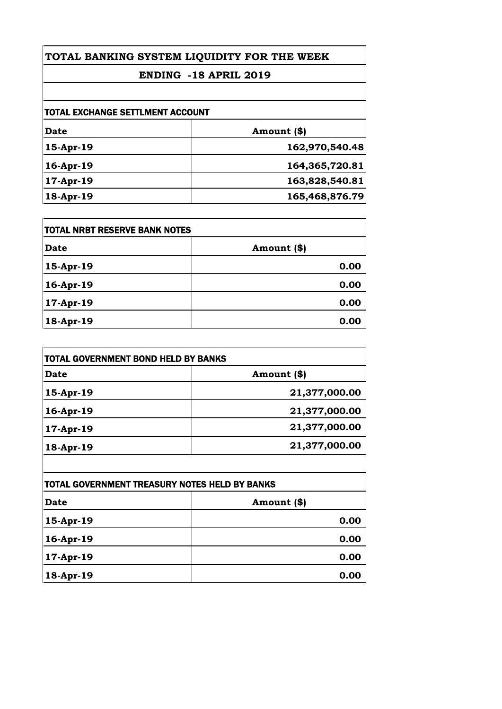# **TOTAL BANKING SYSTEM LIQUIDITY FOR THE WEEK**

# **ENDING -18 APRIL 2019**

| <b>TOTAL EXCHANGE SETTLMENT ACCOUNT</b> |                |
|-----------------------------------------|----------------|
| Date                                    | Amount (\$)    |
| 15-Apr-19                               | 162,970,540.48 |
| 16-Apr-19                               | 164,365,720.81 |
| 17-Apr-19                               | 163,828,540.81 |
| 18-Apr-19                               | 165,468,876.79 |

| <b>TOTAL NRBT RESERVE BANK NOTES</b> |             |
|--------------------------------------|-------------|
| <b>Date</b>                          | Amount (\$) |
| 15-Apr-19                            | 0.00        |
| 16-Apr-19                            | 0.00        |
| 17-Apr-19                            | 0.00        |
| 18-Apr-19                            | 0.00        |

| TOTAL GOVERNMENT BOND HELD BY BANKS |               |
|-------------------------------------|---------------|
| <b>Date</b>                         | Amount (\$)   |
| 15-Apr-19                           | 21,377,000.00 |
| 16-Apr-19                           | 21,377,000.00 |
| 17-Apr-19                           | 21,377,000.00 |
| 18-Apr-19                           | 21,377,000.00 |

| ITOTAL GOVERNMENT TREASURY NOTES HELD BY BANKS |             |
|------------------------------------------------|-------------|
| Date                                           | Amount (\$) |
| 15-Apr-19                                      | 0.00        |
| 16-Apr-19                                      | 0.00        |
| 17-Apr-19                                      | 0.00        |
| 18-Apr-19                                      | 0.00        |